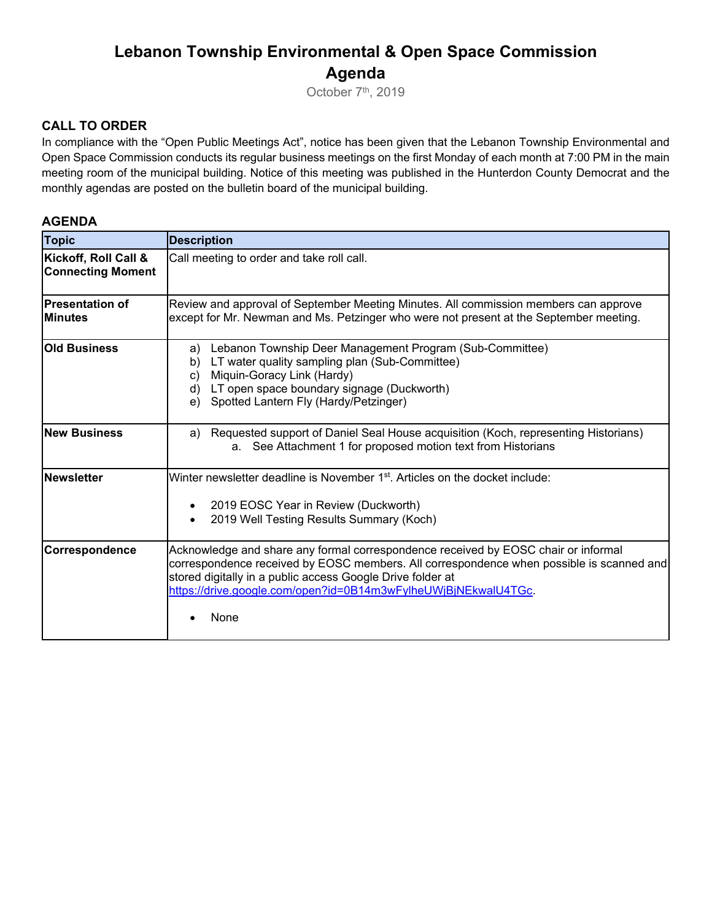## **Lebanon Township Environmental & Open Space Commission Agenda**

October 7<sup>th</sup>, 2019

#### **CALL TO ORDER**

In compliance with the "Open Public Meetings Act", notice has been given that the Lebanon Township Environmental and Open Space Commission conducts its regular business meetings on the first Monday of each month at 7:00 PM in the main meeting room of the municipal building. Notice of this meeting was published in the Hunterdon County Democrat and the monthly agendas are posted on the bulletin board of the municipal building.

#### **AGENDA**

| <b>Topic</b>                                     | <b>Description</b>                                                                                                                                                                                                                                                                                                     |
|--------------------------------------------------|------------------------------------------------------------------------------------------------------------------------------------------------------------------------------------------------------------------------------------------------------------------------------------------------------------------------|
| Kickoff, Roll Call &<br><b>Connecting Moment</b> | Call meeting to order and take roll call.                                                                                                                                                                                                                                                                              |
| <b>Presentation of</b><br><b>Minutes</b>         | Review and approval of September Meeting Minutes. All commission members can approve<br>except for Mr. Newman and Ms. Petzinger who were not present at the September meeting.                                                                                                                                         |
| <b>Old Business</b>                              | Lebanon Township Deer Management Program (Sub-Committee)<br>a)<br>LT water quality sampling plan (Sub-Committee)<br>b)<br>Miquin-Goracy Link (Hardy)<br>$\mathbf{C}$<br>LT open space boundary signage (Duckworth)<br>d)<br>Spotted Lantern Fly (Hardy/Petzinger)<br>e)                                                |
| <b>New Business</b>                              | Requested support of Daniel Seal House acquisition (Koch, representing Historians)<br>a)<br>a. See Attachment 1 for proposed motion text from Historians                                                                                                                                                               |
| <b>Newsletter</b>                                | Winter newsletter deadline is November 1 <sup>st</sup> . Articles on the docket include:<br>2019 EOSC Year in Review (Duckworth)<br>2019 Well Testing Results Summary (Koch)                                                                                                                                           |
| <b>Correspondence</b>                            | Acknowledge and share any formal correspondence received by EOSC chair or informal<br>correspondence received by EOSC members. All correspondence when possible is scanned and<br>stored digitally in a public access Google Drive folder at<br>https://drive.google.com/open?id=0B14m3wFylheUWjBjNEkwalU4TGc.<br>None |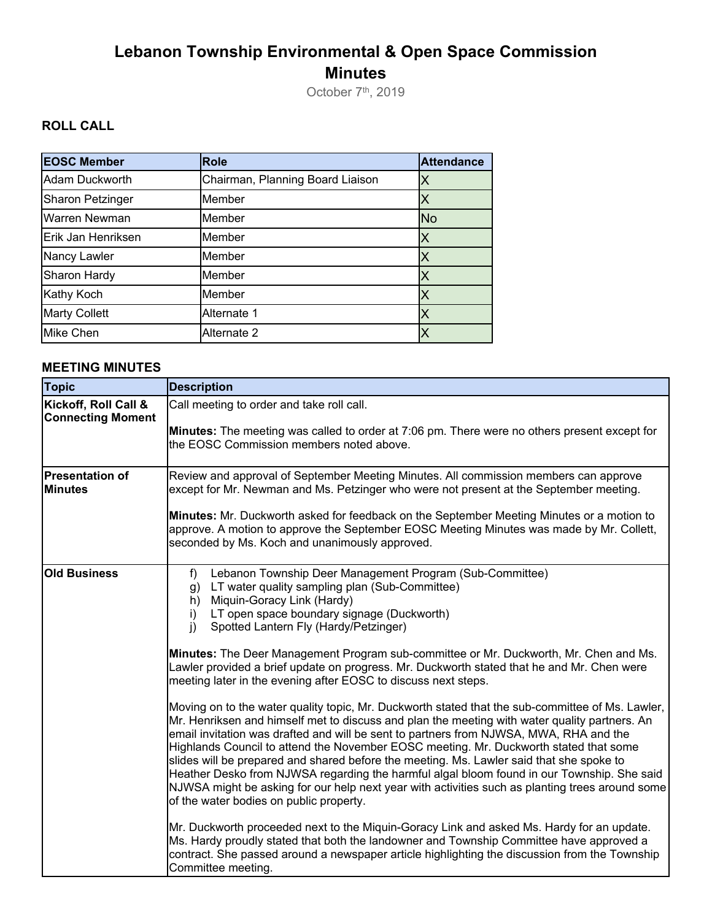# **Lebanon Township Environmental & Open Space Commission Minutes**

October 7<sup>th</sup>, 2019

### **ROLL CALL**

| <b>EOSC Member</b>      | <b>Role</b>                      | <b>Attendance</b> |
|-------------------------|----------------------------------|-------------------|
| Adam Duckworth          | Chairman, Planning Board Liaison |                   |
| <b>Sharon Petzinger</b> | Member                           |                   |
| <b>Warren Newman</b>    | Member                           | <b>No</b>         |
| Erik Jan Henriksen      | Member                           |                   |
| Nancy Lawler            | Member                           |                   |
| Sharon Hardy            | Member                           |                   |
| Kathy Koch              | Member                           |                   |
| <b>Marty Collett</b>    | Alternate 1                      |                   |
| <b>Mike Chen</b>        | Alternate 2                      |                   |

### **MEETING MINUTES**

| <b>Topic</b>                                     | <b>Description</b>                                                                                                                                                                                                                                                                                                                                                                                                                                                                                                                                                                                                                                                                                                                                                                             |
|--------------------------------------------------|------------------------------------------------------------------------------------------------------------------------------------------------------------------------------------------------------------------------------------------------------------------------------------------------------------------------------------------------------------------------------------------------------------------------------------------------------------------------------------------------------------------------------------------------------------------------------------------------------------------------------------------------------------------------------------------------------------------------------------------------------------------------------------------------|
| Kickoff, Roll Call &<br><b>Connecting Moment</b> | Call meeting to order and take roll call.<br>Minutes: The meeting was called to order at 7:06 pm. There were no others present except for<br>the EOSC Commission members noted above.                                                                                                                                                                                                                                                                                                                                                                                                                                                                                                                                                                                                          |
| <b>Presentation of</b><br><b>Minutes</b>         | Review and approval of September Meeting Minutes. All commission members can approve<br>except for Mr. Newman and Ms. Petzinger who were not present at the September meeting.<br>Minutes: Mr. Duckworth asked for feedback on the September Meeting Minutes or a motion to<br>approve. A motion to approve the September EOSC Meeting Minutes was made by Mr. Collett,<br>seconded by Ms. Koch and unanimously approved.                                                                                                                                                                                                                                                                                                                                                                      |
| <b>Old Business</b>                              | f)<br>Lebanon Township Deer Management Program (Sub-Committee)<br>LT water quality sampling plan (Sub-Committee)<br>g)<br>Miquin-Goracy Link (Hardy)<br>h)<br>LT open space boundary signage (Duckworth)<br>i)<br>$\mathsf{i}$<br>Spotted Lantern Fly (Hardy/Petzinger)<br>Minutes: The Deer Management Program sub-committee or Mr. Duckworth, Mr. Chen and Ms.<br>Lawler provided a brief update on progress. Mr. Duckworth stated that he and Mr. Chen were                                                                                                                                                                                                                                                                                                                                 |
|                                                  | meeting later in the evening after EOSC to discuss next steps.<br>Moving on to the water quality topic, Mr. Duckworth stated that the sub-committee of Ms. Lawler,<br>Mr. Henriksen and himself met to discuss and plan the meeting with water quality partners. An<br>email invitation was drafted and will be sent to partners from NJWSA, MWA, RHA and the<br>Highlands Council to attend the November EOSC meeting. Mr. Duckworth stated that some<br>slides will be prepared and shared before the meeting. Ms. Lawler said that she spoke to<br>Heather Desko from NJWSA regarding the harmful algal bloom found in our Township. She said<br>NJWSA might be asking for our help next year with activities such as planting trees around some<br>of the water bodies on public property. |
|                                                  | Mr. Duckworth proceeded next to the Miquin-Goracy Link and asked Ms. Hardy for an update.<br>Ms. Hardy proudly stated that both the landowner and Township Committee have approved a<br>contract. She passed around a newspaper article highlighting the discussion from the Township<br>Committee meeting.                                                                                                                                                                                                                                                                                                                                                                                                                                                                                    |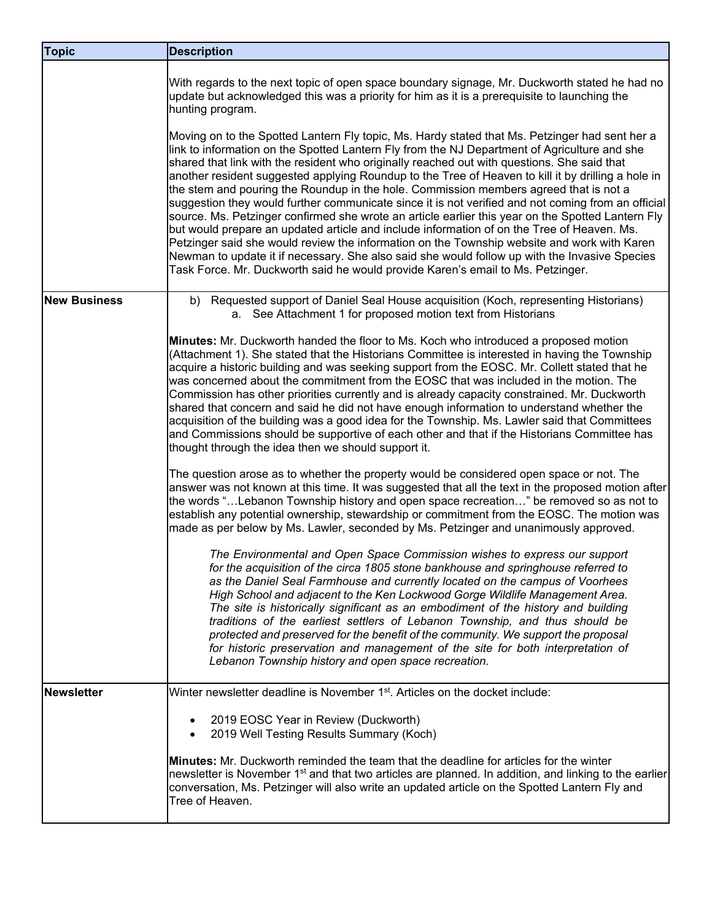| <b>Topic</b>        | <b>Description</b>                                                                                                                                                                                                                                                                                                                                                                                                                                                                                                                                                                                                                                                                                                                                                                                                                                                                                                                                                                                                                                                                       |
|---------------------|------------------------------------------------------------------------------------------------------------------------------------------------------------------------------------------------------------------------------------------------------------------------------------------------------------------------------------------------------------------------------------------------------------------------------------------------------------------------------------------------------------------------------------------------------------------------------------------------------------------------------------------------------------------------------------------------------------------------------------------------------------------------------------------------------------------------------------------------------------------------------------------------------------------------------------------------------------------------------------------------------------------------------------------------------------------------------------------|
|                     | With regards to the next topic of open space boundary signage, Mr. Duckworth stated he had no<br>update but acknowledged this was a priority for him as it is a prerequisite to launching the<br>hunting program.                                                                                                                                                                                                                                                                                                                                                                                                                                                                                                                                                                                                                                                                                                                                                                                                                                                                        |
|                     | Moving on to the Spotted Lantern Fly topic, Ms. Hardy stated that Ms. Petzinger had sent her a<br>link to information on the Spotted Lantern Fly from the NJ Department of Agriculture and she<br>shared that link with the resident who originally reached out with questions. She said that<br>another resident suggested applying Roundup to the Tree of Heaven to kill it by drilling a hole in<br>the stem and pouring the Roundup in the hole. Commission members agreed that is not a<br>suggestion they would further communicate since it is not verified and not coming from an official<br>source. Ms. Petzinger confirmed she wrote an article earlier this year on the Spotted Lantern Fly<br>but would prepare an updated article and include information of on the Tree of Heaven. Ms.<br>Petzinger said she would review the information on the Township website and work with Karen<br>Newman to update it if necessary. She also said she would follow up with the Invasive Species<br>Task Force. Mr. Duckworth said he would provide Karen's email to Ms. Petzinger. |
| <b>New Business</b> | b) Requested support of Daniel Seal House acquisition (Koch, representing Historians)<br>a. See Attachment 1 for proposed motion text from Historians                                                                                                                                                                                                                                                                                                                                                                                                                                                                                                                                                                                                                                                                                                                                                                                                                                                                                                                                    |
|                     | Minutes: Mr. Duckworth handed the floor to Ms. Koch who introduced a proposed motion<br>(Attachment 1). She stated that the Historians Committee is interested in having the Township<br>acquire a historic building and was seeking support from the EOSC. Mr. Collett stated that he<br>was concerned about the commitment from the EOSC that was included in the motion. The<br>Commission has other priorities currently and is already capacity constrained. Mr. Duckworth<br>shared that concern and said he did not have enough information to understand whether the<br>acquisition of the building was a good idea for the Township. Ms. Lawler said that Committees<br>and Commissions should be supportive of each other and that if the Historians Committee has<br>thought through the idea then we should support it.                                                                                                                                                                                                                                                      |
|                     | The question arose as to whether the property would be considered open space or not. The<br>answer was not known at this time. It was suggested that all the text in the proposed motion after<br>the words "Lebanon Township history and open space recreation" be removed so as not to<br>establish any potential ownership, stewardship or commitment from the EOSC. The motion was<br>made as per below by Ms. Lawler, seconded by Ms. Petzinger and unanimously approved.                                                                                                                                                                                                                                                                                                                                                                                                                                                                                                                                                                                                           |
|                     | The Environmental and Open Space Commission wishes to express our support<br>for the acquisition of the circa 1805 stone bankhouse and springhouse referred to<br>as the Daniel Seal Farmhouse and currently located on the campus of Voorhees<br>High School and adjacent to the Ken Lockwood Gorge Wildlife Management Area.<br>The site is historically significant as an embodiment of the history and building<br>traditions of the earliest settlers of Lebanon Township, and thus should be<br>protected and preserved for the benefit of the community. We support the proposal<br>for historic preservation and management of the site for both interpretation of<br>Lebanon Township history and open space recreation.                                                                                                                                                                                                                                                                                                                                                        |
| Newsletter          | Winter newsletter deadline is November 1 <sup>st</sup> . Articles on the docket include:                                                                                                                                                                                                                                                                                                                                                                                                                                                                                                                                                                                                                                                                                                                                                                                                                                                                                                                                                                                                 |
|                     | 2019 EOSC Year in Review (Duckworth)<br>2019 Well Testing Results Summary (Koch)                                                                                                                                                                                                                                                                                                                                                                                                                                                                                                                                                                                                                                                                                                                                                                                                                                                                                                                                                                                                         |
|                     | <b>Minutes:</b> Mr. Duckworth reminded the team that the deadline for articles for the winter<br>newsletter is November 1 <sup>st</sup> and that two articles are planned. In addition, and linking to the earlier<br>conversation, Ms. Petzinger will also write an updated article on the Spotted Lantern Fly and<br>Tree of Heaven.                                                                                                                                                                                                                                                                                                                                                                                                                                                                                                                                                                                                                                                                                                                                                   |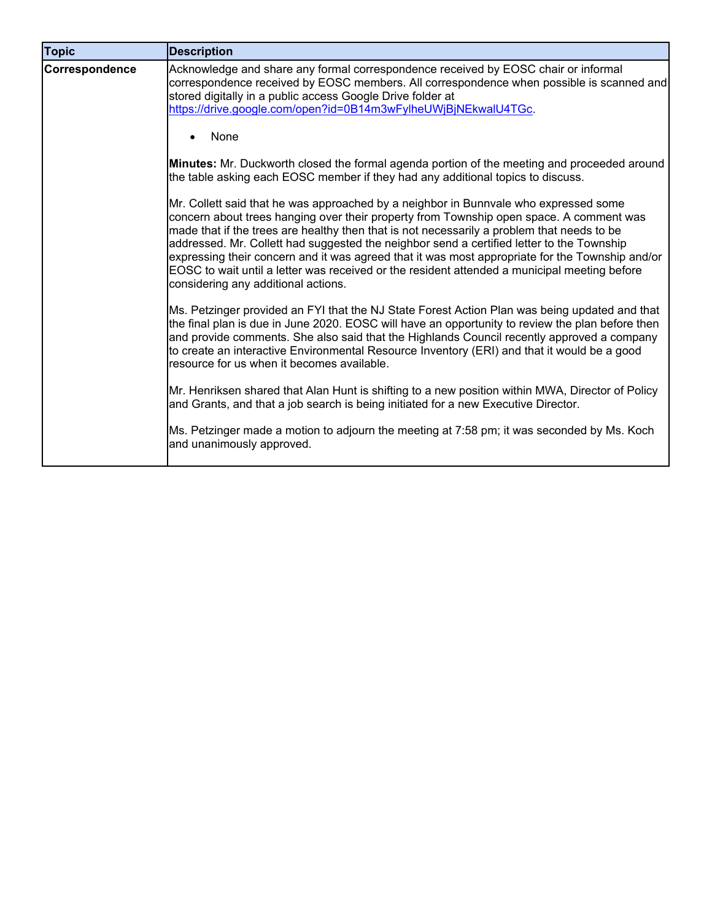| <b>Topic</b>   | <b>Description</b>                                                                                                                                                                                                                                                                                                                                                                                                                                                                                                                                                                                                   |
|----------------|----------------------------------------------------------------------------------------------------------------------------------------------------------------------------------------------------------------------------------------------------------------------------------------------------------------------------------------------------------------------------------------------------------------------------------------------------------------------------------------------------------------------------------------------------------------------------------------------------------------------|
| Correspondence | Acknowledge and share any formal correspondence received by EOSC chair or informal<br>correspondence received by EOSC members. All correspondence when possible is scanned and<br>stored digitally in a public access Google Drive folder at<br>https://drive.google.com/open?id=0B14m3wFylheUWjBjNEkwalU4TGc.                                                                                                                                                                                                                                                                                                       |
|                | None                                                                                                                                                                                                                                                                                                                                                                                                                                                                                                                                                                                                                 |
|                | Minutes: Mr. Duckworth closed the formal agenda portion of the meeting and proceeded around<br>the table asking each EOSC member if they had any additional topics to discuss.                                                                                                                                                                                                                                                                                                                                                                                                                                       |
|                | Mr. Collett said that he was approached by a neighbor in Bunnvale who expressed some<br>concern about trees hanging over their property from Township open space. A comment was<br>made that if the trees are healthy then that is not necessarily a problem that needs to be<br>addressed. Mr. Collett had suggested the neighbor send a certified letter to the Township<br>expressing their concern and it was agreed that it was most appropriate for the Township and/or<br>EOSC to wait until a letter was received or the resident attended a municipal meeting before<br>considering any additional actions. |
|                | Ms. Petzinger provided an FYI that the NJ State Forest Action Plan was being updated and that<br>the final plan is due in June 2020. EOSC will have an opportunity to review the plan before then<br>and provide comments. She also said that the Highlands Council recently approved a company<br>to create an interactive Environmental Resource Inventory (ERI) and that it would be a good<br>resource for us when it becomes available.                                                                                                                                                                         |
|                | Mr. Henriksen shared that Alan Hunt is shifting to a new position within MWA, Director of Policy<br>and Grants, and that a job search is being initiated for a new Executive Director.                                                                                                                                                                                                                                                                                                                                                                                                                               |
|                | Ms. Petzinger made a motion to adjourn the meeting at 7:58 pm; it was seconded by Ms. Koch<br>and unanimously approved.                                                                                                                                                                                                                                                                                                                                                                                                                                                                                              |